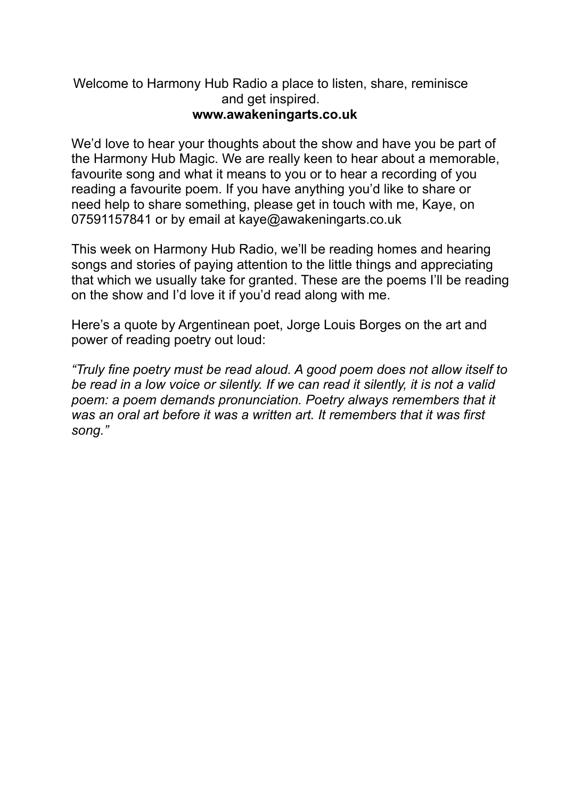#### Welcome to Harmony Hub Radio a place to listen, share, reminisce and get inspired. **[www.awakeningarts.co.uk](http://www.awakeningarts.co.uk/)**

We'd love to hear your thoughts about the show and have you be part of the Harmony Hub Magic. We are really keen to hear about a memorable, favourite song and what it means to you or to hear a recording of you reading a favourite poem. If you have anything you'd like to share or need help to share something, please get in touch with me, Kaye, on 07591157841 or by email at [kaye@awakeningarts.co.uk](mailto:kaye@awakeningarts.co.uk)

This week on Harmony Hub Radio, we'll be reading homes and hearing songs and stories of paying attention to the little things and appreciating that which we usually take for granted. These are the poems I'll be reading on the show and I'd love it if you'd read along with me.

Here's a quote by Argentinean poet, Jorge Louis Borges on the art and power of reading poetry out loud:

*"Truly fine poetry must be read aloud. A good poem does not allow itself to be read in a low voice or silently. If we can read it silently, it is not a valid*  poem: a poem demands pronunciation. Poetry always remembers that it *was an oral art before it was a written art. It remembers that it was first song."*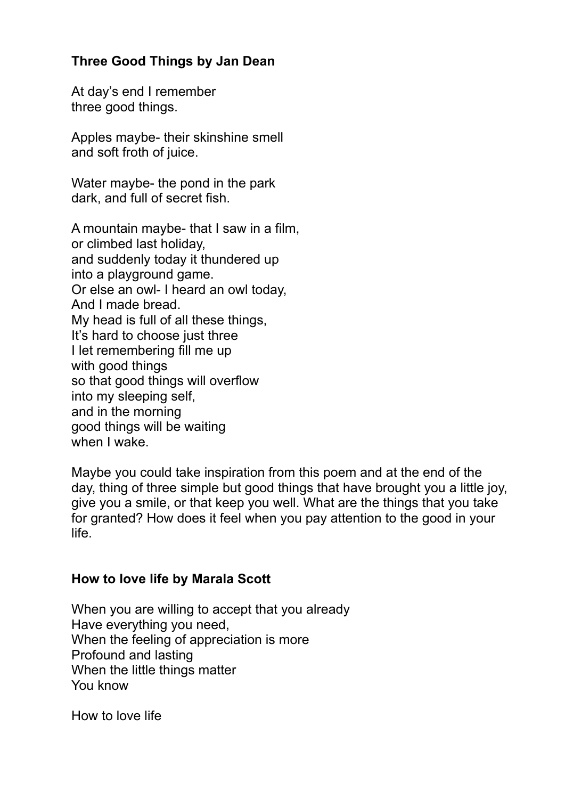### **Three Good Things by Jan Dean**

At day's end I remember three good things.

Apples maybe- their skinshine smell and soft froth of juice.

Water maybe- the pond in the park dark, and full of secret fish.

A mountain maybe- that I saw in a film, or climbed last holiday, and suddenly today it thundered up into a playground game. Or else an owl- I heard an owl today, And I made bread. My head is full of all these things, It's hard to choose just three I let remembering fill me up with good things so that good things will overflow into my sleeping self, and in the morning good things will be waiting when I wake.

Maybe you could take inspiration from this poem and at the end of the day, thing of three simple but good things that have brought you a little joy, give you a smile, or that keep you well. What are the things that you take for granted? How does it feel when you pay attention to the good in your life.

### **How to love life by Marala Scott**

When you are willing to accept that you already Have everything you need, When the feeling of appreciation is more Profound and lasting When the little things matter You know

How to love life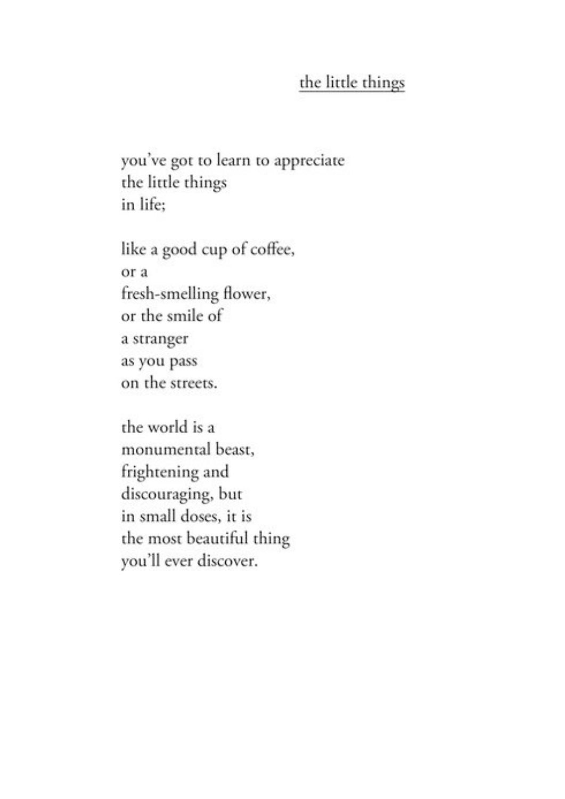# the little things

you've got to learn to appreciate the little things in life;

like a good cup of coffee, or a fresh-smelling flower, or the smile of a stranger as you pass on the streets.

the world is a monumental beast, frightening and discouraging, but in small doses, it is the most beautiful thing you'll ever discover.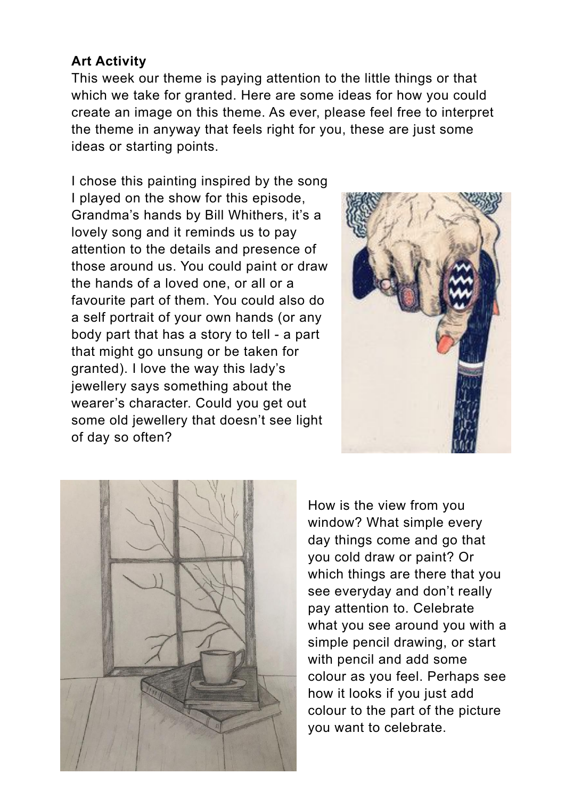## **Art Activity**

This week our theme is paying attention to the little things or that which we take for granted. Here are some ideas for how you could create an image on this theme. As ever, please feel free to interpret the theme in anyway that feels right for you, these are just some ideas or starting points.

I chose this painting inspired by the song I played on the show for this episode, Grandma's hands by Bill Whithers, it's a lovely song and it reminds us to pay attention to the details and presence of those around us. You could paint or draw the hands of a loved one, or all or a favourite part of them. You could also do a self portrait of your own hands (or any body part that has a story to tell - a part that might go unsung or be taken for granted). I love the way this lady's jewellery says something about the wearer's character. Could you get out some old jewellery that doesn't see light of day so often?





How is the view from you window? What simple every day things come and go that you cold draw or paint? Or which things are there that you see everyday and don't really pay attention to. Celebrate what you see around you with a simple pencil drawing, or start with pencil and add some colour as you feel. Perhaps see how it looks if you just add colour to the part of the picture you want to celebrate.